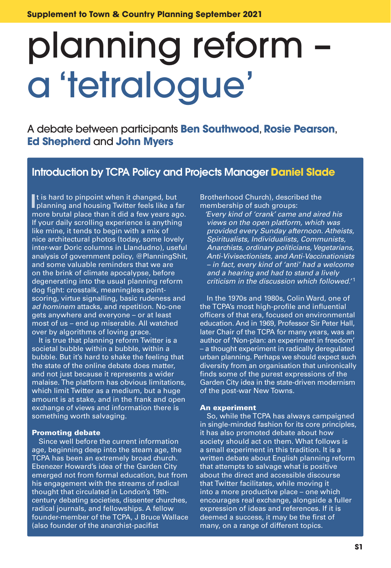# planning reform – a 'tetralogue'

A debate between participants **Ben Southwood**, **Rosie Pearson**, **Ed Shepherd** and **John Myers**

#### **Introduction by TCPA Policy and Projects Manager Daniel Slade**

It is hard to pinpoint when it changed, but<br>planning and housing Twitter feels like a far It is hard to pinpoint when it changed, but more brutal place than it did a few years ago. If your daily scrolling experience is anything like mine, it tends to begin with a mix of nice architectural photos (today, some lovely inter-war Doric columns in Llandudno), useful analysis of government policy, @PlanningShit, and some valuable reminders that we are on the brink of climate apocalypse, before degenerating into the usual planning reform dog fight: crosstalk, meaningless pointscoring, virtue signalling, basic rudeness and *ad hominem* attacks, and repetition. No-one gets anywhere and everyone – or at least most of us – end up miserable. All watched over by algorithms of loving grace.

 It is true that planning reform Twitter is a societal bubble within a bubble, within a bubble. But it's hard to shake the feeling that the state of the online debate does matter, and not just because it represents a wider malaise. The platform has obvious limitations, which limit Twitter as a medium, but a huge amount is at stake, and in the frank and open exchange of views and information there is something worth salvaging.

#### **Promoting debate**

 Since well before the current information age, beginning deep into the steam age, the TCPA has been an extremely broad church. Ebenezer Howard's idea of the Garden City emerged not from formal education, but from his engagement with the streams of radical thought that circulated in London's 19thcentury debating societies, dissenter churches, radical journals, and fellowships. A fellow founder-member of the TCPA, J Bruce Wallace (also founder of the anarchist-pacifist

Brotherhood Church), described the membership of such groups:

*'Every kind of 'crank' came and aired his views on the open platform, which was provided every Sunday afternoon. Atheists, Spiritualists, Individualists, Communists, Anarchists, ordinary politicians, Vegetarians, Anti-Vivisectionists, and Anti-Vaccinationists – in fact, every kind of 'anti' had a welcome and a hearing and had to stand a lively criticism in the discussion which followed.'* <sup>1</sup>

 In the 1970s and 1980s, Colin Ward, one of the TCPA's most high-profile and influential officers of that era, focused on environmental education. And in 1969, Professor Sir Peter Hall, later Chair of the TCPA for many years, was an author of 'Non-plan: an experiment in freedom' – a thought experiment in radically deregulated urban planning. Perhaps we should expect such diversity from an organisation that unironically finds some of the purest expressions of the Garden City idea in the state-driven modernism of the post-war New Towns.

#### **An experiment**

 So, while the TCPA has always campaigned in single-minded fashion for its core principles, it has also promoted debate about how society should act on them. What follows is a small experiment in this tradition. It is a written debate about English planning reform that attempts to salvage what is positive about the direct and accessible discourse that Twitter facilitates, while moving it into a more productive place – one which encourages real exchange, alongside a fuller expression of ideas and references. If it is deemed a success, it may be the first of many, on a range of different topics.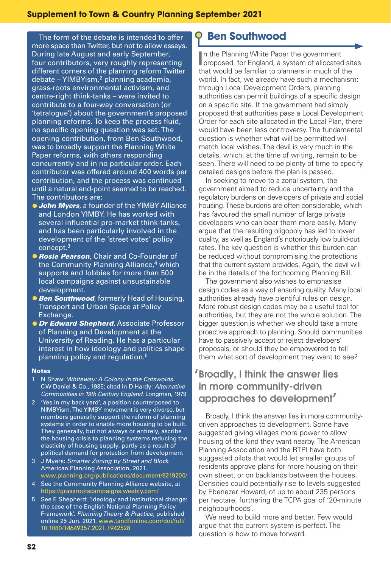The form of the debate is intended to offer more space than Twitter, but not to allow essays. During late August and early September, four contributors, very roughly representing different corners of the planning reform Twitter debate – YIMBYism,2 planning academia, grass-roots environmental activism, and centre-right think-tanks – were invited to contribute to a four-way conversation (or 'tetralogue') about the government's proposed planning reforms. To keep the process fluid, no specific opening question was set. The opening contribution, from Ben Southwood, was to broadly support the Planning White Paper reforms, with others responding concurrently and in no particular order. Each contributor was offered around 400 words per contribution, and the process was continued until a natural end-point seemed to be reached. The contributors are:

- **•***John Myers*, a founder of the YIMBY Alliance and London YIMBY. He has worked with several influential pro-market think-tanks, and has been particularly involved in the development of the 'street votes' policy concept.3
- **•***Rosie Pearson*, Chair and Co-Founder of the Community Planning Alliance,<sup>4</sup> which supports and lobbies for more than 500 local campaigns against unsustainable development.
- **•***Ben Southwood*, formerly Head of Housing, Transport and Urban Space at Policy Exchange.
- **•***Dr Edward Shepherd*, Associate Professor of Planning and Development at the University of Reading. He has a particular interest in how ideology and politics shape planning policy and regulation.5

#### **Notes**

- 1 N Shaw: *Whiteway: A Colony in the Cotswolds*. CW Daniel & Co., 1935; cited in D Hardy: *Alternative Communities in 19th Century England*. Longman, 1979
- 2 'Yes in my back yard', a position counterposed to NIMBYism. The YIMBY movement is very diverse, but members generally support the reform of planning systems in order to enable more housing to be built. They generally, but not always or entirely, ascribe the housing crisis to planning systems reducing the elasticity of housing supply, partly as a result of political demand for protection from development
- 3 J Myers: *Smarter Zoning by Street and Block*. American Planning Association, 2021. www.planning.org/publications/document/9219200/
- 4 See the Community Planning Alliance website, at https://grassrootscampaigns.weebly.com/
- 5 See E Shepherd: 'Ideology and institutional change: the case of the English National Planning Policy Framework'. *Planning Theory & Practice*, published online 25 Jun. 2021. www.tandfonline.com/doi/full/ 10.1080/14649357.2021.1942528

## **Ben Southwood**

**I**n the Planning White Paper the government<br>**I** proposed, for England, a system of allocated sites n the Planning White Paper the government that would be familiar to planners in much of the world. In fact, we already have such a mechanism: through Local Development Orders, planning authorities can permit buildings of a specific design on a specific site. If the government had simply proposed that authorities pass a Local Development Order for each site allocated in the Local Plan, there would have been less controversy. The fundamental question is whether what will be permitted will match local wishes. The devil is very much in the details, which, at the time of writing, remain to be seen. There will need to be plenty of time to specify detailed designs before the plan is passed.

 In seeking to move to a zonal system, the government aimed to reduce uncertainty and the regulatory burdens on developers of private and social housing. These burdens are often considerable, which has favoured the small number of large private developers who can bear them more easily. Many argue that the resulting oligopoly has led to lower quality, as well as England's notoriously low build-out rates. The key question is whether this burden can be reduced without compromising the protections that the current system provides. Again, the devil will be in the details of the forthcoming Planning Bill.

The government also wishes to emphasise design codes as a way of ensuring quality. Many local authorities already have plentiful rules on design. More robust design codes may be a useful tool for authorities, but they are not the whole solution. The bigger question is whether we should take a more proactive approach to planning. Should communities have to passively accept or reject developers' proposals, or should they be empowered to tell them what sort of development they want to see?

## '**Broadly, I think the answer lies in more community-driven approaches to development**'

 Broadly, I think the answer lies in more communitydriven approaches to development. Some have suggested giving villages more power to allow housing of the kind they want nearby. The American Planning Association and the RTPI have both suggested pilots that would let smaller groups of residents approve plans for more housing on their own street, or on backlands between the houses. Densities could potentially rise to levels suggested by Ebenezer Howard, of up to about 235 persons per hectare, furthering the TCPA goal of '20-minute neighbourhoods'.

We need to build more and better. Few would argue that the current system is perfect. The question is how to move forward.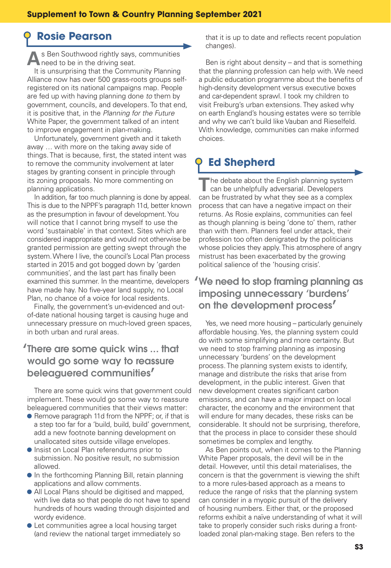# **Rosie Pearson**

**A**s Ben Southwood rightly says, communities need to be in the driving seat. It is unsurprising that the Community Planning

Alliance now has over 500 grass-roots groups selfregistered on its national campaigns map. People are fed up with having planning done to them by government, councils, and developers. To that end, it is positive that, in the Planning for the Future White Paper, the government talked of an intent to improve engagement in plan-making.

 Unfortunately, government giveth and it taketh away ... with more on the taking away side of things. That is because, first, the stated intent was to remove the community involvement at later stages by granting consent in principle through its zoning proposals. No more commenting on planning applications.

 In addition, far too much planning is done by appeal. This is due to the NPPF's paragraph 11d, better known as the presumption in favour of development. You will notice that I cannot bring myself to use the word 'sustainable' in that context. Sites which are considered inappropriate and would not otherwise be granted permission are getting swept through the system. Where I live, the council's Local Plan process started in 2015 and got bogged down by 'garden communities', and the last part has finally been examined this summer. In the meantime, developers have made hay. No five-year land supply, no Local Plan, no chance of a voice for local residents.

 Finally, the government's un-evidenced and outof-date national housing target is causing huge and unnecessary pressure on much-loved green spaces, in both urban and rural areas.

#### '**There are some quick wins ... that would go some way to reassure beleaguered communities**'

 There are some quick wins that government could implement. These would go some way to reassure beleaguered communities that their views matter:

- **•** Remove paragraph 11d from the NPPF; or, if that is a step too far for a 'build, build, build' government, add a new footnote banning development on unallocated sites outside village envelopes.
- **•** Insist on Local Plan referendums prior to submission. No positive result, no submission allowed.
- **•** In the forthcoming Planning Bill, retain planning applications and allow comments.
- **•** All Local Plans should be digitised and mapped, with live data so that people do not have to spend hundreds of hours wading through disjointed and wordy evidence.
- **•** Let communities agree a local housing target (and review the national target immediately so

that it is up to date and reflects recent population changes).

 Ben is right about density – and that is something that the planning profession can help with. We need a public education programme about the benefits of high-density development versus executive boxes and car-dependent sprawl. I took my children to visit Freiburg's urban extensions. They asked why on earth England's housing estates were so terrible and why we can't build like Vauban and Rieselfeld. With knowledge, communities can make informed choices.

# **Ed Shepherd**

**T**he debate about the English planning system can be unhelpfully adversarial. Developers can be frustrated by what they see as a complex process that can have a negative impact on their returns. As Rosie explains, communities can feel as though planning is being 'done to' them, rather than with them. Planners feel under attack, their profession too often denigrated by the politicians whose policies they apply. This atmosphere of angry mistrust has been exacerbated by the growing political salience of the 'housing crisis'.

#### '**We need to stop framing planning as imposing unnecessary** '**burdens**' **on the development process**'

 Yes, we need more housing – particularly genuinely affordable housing. Yes, the planning system could do with some simplifying and more certainty. But we need to stop framing planning as imposing unnecessary 'burdens' on the development process. The planning system exists to identify, manage and distribute the risks that arise from development, in the public interest. Given that new development creates significant carbon emissions, and can have a major impact on local character, the economy and the environment that will endure for many decades, these risks can be considerable. It should not be surprising, therefore, that the process in place to consider these should sometimes be complex and lengthy.

 As Ben points out, when it comes to the Planning White Paper proposals, the devil will be in the detail. However, until this detail materialises, the concern is that the government is viewing the shift to a more rules-based approach as a means to reduce the range of risks that the planning system can consider in a myopic pursuit of the delivery of housing numbers. Either that, or the proposed reforms exhibit a naïve understanding of what it will take to properly consider such risks during a frontloaded zonal plan-making stage. Ben refers to the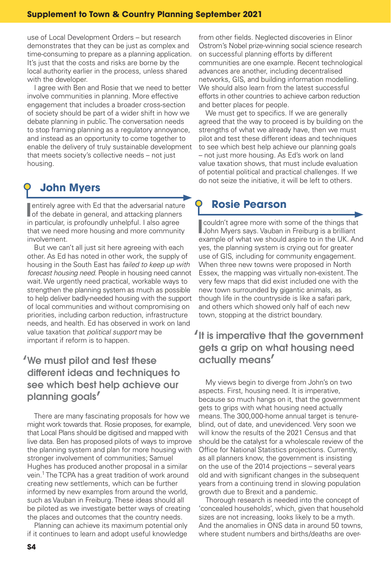use of Local Development Orders – but research demonstrates that they can be just as complex and time-consuming to prepare as a planning application. It's just that the costs and risks are borne by the local authority earlier in the process, unless shared with the developer.

 I agree with Ben and Rosie that we need to better involve communities in planning. More effective engagement that includes a broader cross-section of society should be part of a wider shift in how we debate planning in public. The conversation needs to stop framing planning as a regulatory annoyance, and instead as an opportunity to come together to enable the delivery of truly sustainable development that meets society's collective needs – not just housing.

# **John Myers**

**I**<br> **I** entirely agree with Ed that the adversarial nature<br>
of the debate in general, and attacking planners entirely agree with Ed that the adversarial nature in particular, is profoundly unhelpful. I also agree that we need more housing and more community involvement.

 But we can't all just sit here agreeing with each other. As Ed has noted in other work, the supply of housing in the South East has failed to keep up with forecast housing need. People in housing need cannot wait. We urgently need practical, workable ways to strengthen the planning system as much as possible to help deliver badly-needed housing with the support of local communities and without compromising on priorities, including carbon reduction, infrastructure needs, and health. Ed has observed in work on land value taxation that *political support* may be important if reform is to happen.

### '**We must pilot and test these diff erent ideas and techniques to see which best help achieve our planning goals**'

 There are many fascinating proposals for how we might work towards that. Rosie proposes, for example, that Local Plans should be digitised and mapped with live data. Ben has proposed pilots of ways to improve the planning system and plan for more housing with stronger involvement of communities; Samuel Hughes has produced another proposal in a similar vein.<sup>1</sup> The TCPA has a great tradition of work around creating new settlements, which can be further informed by new examples from around the world, such as Vauban in Freiburg. These ideas should all be piloted as we investigate better ways of creating the places and outcomes that the country needs.

 Planning can achieve its maximum potential only if it continues to learn and adopt useful knowledge

from other fields. Neglected discoveries in Elinor Ostrom's Nobel prize-winning social science research on successful planning efforts by different communities are one example. Recent technological advances are another, including decentralised networks, GIS, and building information modelling. We should also learn from the latest successful efforts in other countries to achieve carbon reduction and better places for people.

We must get to specifics. If we are generally agreed that the way to proceed is by building on the strengths of what we already have, then we must pilot and test these different ideas and techniques to see which best help achieve our planning goals – not just more housing. As Ed's work on land value taxation shows, that must include evaluation of potential political and practical challenges. If we do not seize the initiative, it will be left to others.

## **Rosie Pearson**

**I**<br> **I** couldn't agree more with some of the things that<br>
John Myers savs. Vauban in Freiburg is a brilliant John Myers says. Vauban in Freiburg is a brilliant example of what we should aspire to in the UK. And yes, the planning system is crying out for greater use of GIS, including for community engagement. When three new towns were proposed in North Essex, the mapping was virtually non-existent. The very few maps that did exist included one with the new town surrounded by gigantic animals, as though life in the countryside is like a safari park, and others which showed only half of each new town, stopping at the district boundary.

#### '**It is imperative that the government gets a grip on what housing need actually means**'

 My views begin to diverge from John's on two aspects. First, housing need. It is imperative, because so much hangs on it, that the government gets to grips with what housing need actually means. The 300,000-home annual target is tenureblind, out of date, and unevidenced. Very soon we will know the results of the 2021 Census and that should be the catalyst for a wholescale review of the Office for National Statistics projections. Currently, as all planners know, the government is insisting on the use of the 2014 projections – several years old and with significant changes in the subsequent years from a continuing trend in slowing population growth due to Brexit and a pandemic.

 Thorough research is needed into the concept of 'concealed households', which, given that household sizes are not increasing, looks likely to be a myth. And the anomalies in ONS data in around 50 towns, where student numbers and births/deaths are over-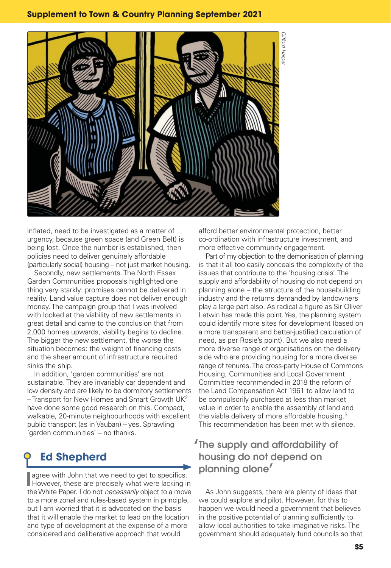

inflated, need to be investigated as a matter of urgency, because green space (and Green Belt) is being lost. Once the number is established, then policies need to deliver genuinely affordable (particularly social) housing – not just market housing.

 Secondly, new settlements. The North Essex Garden Communities proposals highlighted one thing very starkly: promises cannot be delivered in reality. Land value capture does not deliver enough money. The campaign group that I was involved with looked at the viability of new settlements in great detail and came to the conclusion that from 2,000 homes upwards, viability begins to decline. The bigger the new settlement, the worse the situation becomes: the weight of financing costs and the sheer amount of infrastructure required sinks the ship.

 In addition, 'garden communities' are not sustainable. They are invariably car dependent and low density and are likely to be dormitory settlements  $-$  Transport for New Homes and Smart Growth UK<sup>2</sup> have done some good research on this. Compact, walkable, 20-minute neighbourhoods with excellent public transport (as in Vauban) – yes. Sprawling 'garden communities' – no thanks.

# **Ed Shepherd**

**I** agree with John that we need to get to specifics.<br>However, these are precisely what were lacking in However, these are precisely what were lacking in the White Paper. I do not *necessarily* object to a move to a more zonal and rules-based system in principle, but I am worried that it is advocated on the basis that it will enable the market to lead on the location and type of development at the expense of a more considered and deliberative approach that would

afford better environmental protection, better co-ordination with infrastructure investment, and more effective community engagement.

 Part of my objection to the demonisation of planning is that it all too easily conceals the complexity of the issues that contribute to the 'housing crisis'. The supply and affordability of housing do not depend on planning alone – the structure of the housebuilding industry and the returns demanded by landowners play a large part also. As radical a figure as Sir Oliver Letwin has made this point. Yes, the planning system could identify more sites for development (based on a more transparent and better-justified calculation of need, as per Rosie's point). But we also need a more diverse range of organisations on the delivery side who are providing housing for a more diverse range of tenures. The cross-party House of Commons Housing, Communities and Local Government Committee recommended in 2018 the reform of the Land Compensation Act 1961 to allow land to be compulsorily purchased at less than market value in order to enable the assembly of land and the viable delivery of more affordable housing. $3$ This recommendation has been met with silence.

#### **'The supply and affordability of housing do not depend on planning alone**'

 As John suggests, there are plenty of ideas that we could explore and pilot. However, for this to happen we would need a government that believes in the positive potential of planning sufficiently to allow local authorities to take imaginative risks. The government should adequately fund councils so that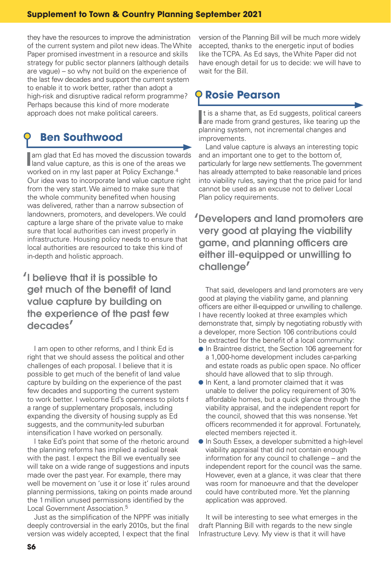#### **Supplement to Town & Country Planning September 2021**

they have the resources to improve the administration of the current system and pilot new ideas. The White Paper promised investment in a resource and skills strategy for public sector planners (although details are vague) – so why not build on the experience of the last few decades and support the current system to enable it to work better, rather than adopt a high-risk and disruptive radical reform programme? Perhaps because this kind of more moderate approach does not make political careers.

## **Ben Southwood**

**I** am glad that Ed has moved the discussion towards<br>**I** land value capture, as this is one of the areas we land value capture, as this is one of the areas we worked on in my last paper at Policy Exchange.<sup>4</sup> Our idea was to incorporate land value capture right from the very start. We aimed to make sure that the whole community benefited when housing was delivered, rather than a narrow subsection of landowners, promoters, and developers. We could capture a large share of the private value to make sure that local authorities can invest properly in infrastructure. Housing policy needs to ensure that local authorities are resourced to take this kind of in-depth and holistic approach.

## '**I believe that it is possible to**  get much of the benefit of land **value capture by building on the experience of the past few decades**'

 I am open to other reforms, and I think Ed is right that we should assess the political and other challenges of each proposal. I believe that it is possible to get much of the benefit of land value capture by building on the experience of the past few decades and supporting the current system to work better. I welcome Ed's openness to pilots f a range of supplementary proposals, including expanding the diversity of housing supply as Ed suggests, and the community-led suburban intensification I have worked on personally.

 I take Ed's point that some of the rhetoric around the planning reforms has implied a radical break with the past. I expect the Bill we eventually see will take on a wide range of suggestions and inputs made over the past year. For example, there may well be movement on 'use it or lose it' rules around planning permissions, taking on points made around the 1 million unused permissions identified by the Local Government Association.<sup>5</sup>

Just as the simplification of the NPPF was initially deeply controversial in the early 2010s, but the final version was widely accepted, I expect that the final

version of the Planning Bill will be much more widely accepted, thanks to the energetic input of bodies like the TCPA. As Ed says, the White Paper did not have enough detail for us to decide: we will have to wait for the Bill.

## **Rosie Pearson**

**I** t is a shame that, as Ed suggests, political careers<br> **I** are made from grand gestures, like tearing up the t is a shame that, as Ed suggests, political careers planning system, not incremental changes and improvements.

 Land value capture is always an interesting topic and an important one to get to the bottom of, particularly for large new settlements. The government has already attempted to bake reasonable land prices into viability rules, saying that the price paid for land cannot be used as an excuse not to deliver Local Plan policy requirements.

#### '**Developers and land promoters are very good at playing the viability**  game, and planning officers are **either ill-equipped or unwilling to challenge**'

 That said, developers and land promoters are very good at playing the viability game, and planning officers are either ill-equipped or unwilling to challenge. I have recently looked at three examples which demonstrate that, simply by negotiating robustly with a developer, more Section 106 contributions could be extracted for the benefit of a local community:

- **•** In Braintree district, the Section 106 agreement for a 1,000-home development includes car-parking and estate roads as public open space. No officer should have allowed that to slip through.
- **•** In Kent, a land promoter claimed that it was unable to deliver the policy requirement of 30% affordable homes, but a quick glance through the viability appraisal, and the independent report for the council, showed that this was nonsense. Yet officers recommended it for approval. Fortunately, elected members rejected it.
- **•** In South Essex, a developer submitted a high-level viability appraisal that did not contain enough information for any council to challenge – and the independent report for the council was the same. However, even at a glance, it was clear that there was room for manoeuvre and that the developer could have contributed more. Yet the planning application was approved.

 It will be interesting to see what emerges in the draft Planning Bill with regards to the new single Infrastructure Levy. My view is that it will have